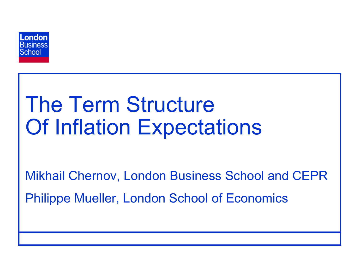

# The Term Structure Of Inflation Expectations

Mikhail Chernov, London Business School and CEPR Philippe Mueller, London School of Economics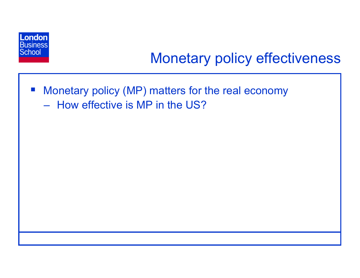

### Monetary policy effectiveness

- $\mathcal{L}_{\mathcal{A}}$  Monetary policy (MP) matters for the real economy
	- How effective is MP in the US?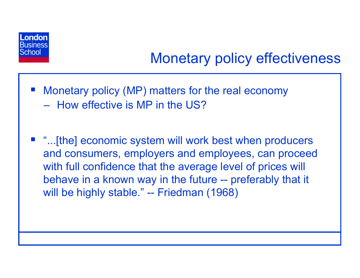

### Monetary policy effectiveness

- Monetary policy (MP) matters for the real economy – How effective is MP in the US?
- "...[the] economic system will work best when producers and consumers, employers and employees, can proceed with full confidence that the average level of prices will behave in a known way in the future -- preferably that it will be highly stable." -- Friedman (1968)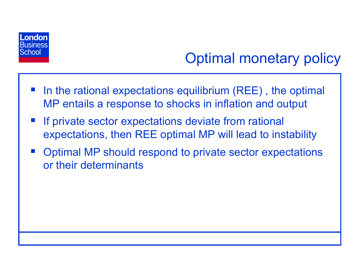

### Optimal monetary policy

- In the rational expectations equilibrium (REE) , the optimal MP entails a response to shocks in inflation and output
- **If private sector expectations deviate from rational** expectations, then REE optimal MP will lead to instability
- $\mathcal{L}^{\text{max}}$  Optimal MP should respond to private sector expectations or their determinants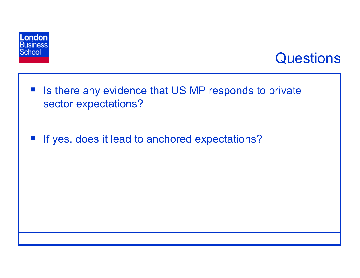

#### **Questions**

- $\mathcal{L}^{\mathcal{L}}$  Is there any evidence that US MP responds to private sector expectations?
- $\mathcal{L}^{\mathcal{A}}$ If yes, does it lead to anchored expectations?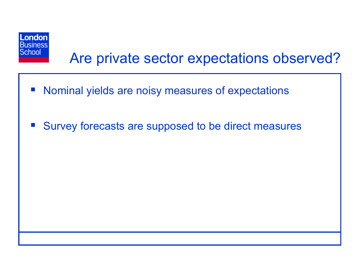

### Are private sector expectations observed?

- $\mathcal{L}_{\mathcal{A}}$ Nominal yields are noisy measures of expectations
- $\mathcal{L}_{\mathcal{A}}$ Survey forecasts are supposed to be direct measures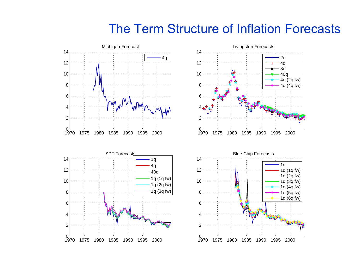#### The Term Structure of Inflation Forecasts

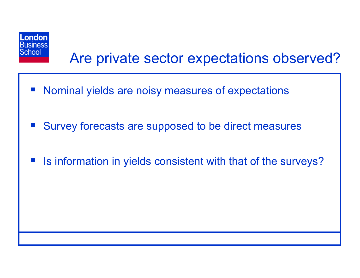

### Are private sector expectations observed?

- $\mathcal{L}_{\mathcal{A}}$ Nominal yields are noisy measures of expectations
- $\mathcal{L}_{\mathcal{A}}$ Survey forecasts are supposed to be direct measures
- $\mathcal{L}_{\mathcal{A}}$ Is information in yields consistent with that of the surveys?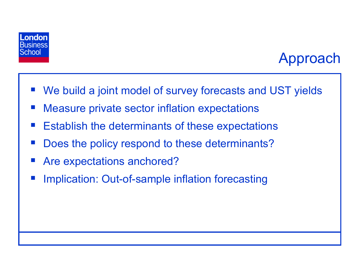

#### Approach

- We build a joint model of survey forecasts and UST yields
- Measure private sector inflation expectations
- $\mathcal{L}^{\text{max}}$ Establish the determinants of these expectations
- Does the policy respond to these determinants?
- Are expectations anchored?
- Implication: Out-of-sample inflation forecasting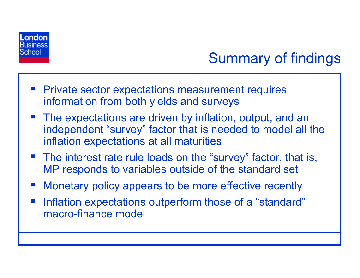

### Summary of findings

- Private sector expectations measurement requires information from both yields and surveys
- **The expectations are driven by inflation, output, and an** independent "survey" factor that is needed to model all the inflation expectations at all maturities
- **The interest rate rule loads on the "survey" factor, that is,** MP responds to variables outside of the standard set
- Monetary policy appears to be more effective recently
- $\mathcal{L}^{\text{max}}$  Inflation expectations outperform those of a "standard" macro-finance model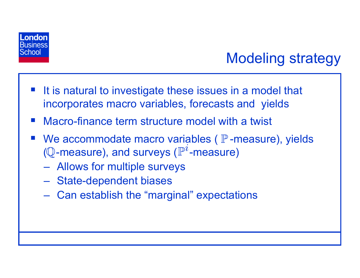

### Modeling strategy

- It is natural to investigate these issues in a model that incorporates macro variables, forecasts and yields
- **Service Service** Macro-finance term structure model with a twist
- We accommodate macro variables ( $\mathbb P$ -measure), yields ( $\mathbb Q$ -measure), and surveys ( $\mathbb P^i$ -measure)
	- –Allows for multiple surveys
	- State-dependent biases
	- Can establish the "marginal" expectations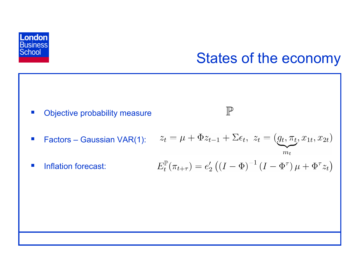

#### States of the economy

 $m_t$ 

 $\mathbb{P}$ 



 $\mathcal{L}_{\mathcal{A}}$ Factors – Gaussian VAR(1):  $z_t = \mu + \Phi z_{t-1} + \Sigma \epsilon_t, \ z_t = (g_t, \pi_t, x_{1t}, x_{2t})$ 

$$
\blacksquare \quad \text{Inflation forecast:} \qquad \qquad E_t^{\mathbb{P}}(\pi_{t+\tau}) = e_2' \left( \left( I - \Phi \right)^{-1} \left( I - \Phi^{\tau} \right) \mu + \Phi^{\tau} z_t \right)
$$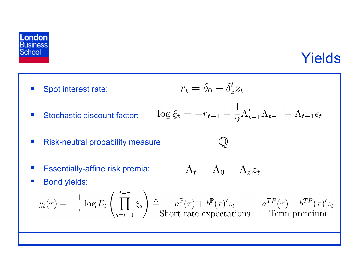

#### Yields

\n- Spot interest rate: 
$$
r_t = \delta_0 + \delta'_z z_t
$$
\n- Stochastic discount factor:  $\log \xi_t = -r_{t-1} - \frac{1}{2} \Lambda'_{t-1} \Lambda_{t-1} - \Lambda_{t-1} \epsilon_t$
\n- Risk-neutral probability measure
\n- Essentially-affine risk premia:  $\Lambda_t = \Lambda_0 + \Lambda_z z_t$
\n- Bond yields:  $y_t(\tau) = -\frac{1}{\tau} \log E_t \left( \prod_{s=t+1}^{t+\tau} \xi_s \right) \triangleq a^{\mathbb{P}}(\tau) + b^{\mathbb{P}}(\tau)^{\prime} z_t + a^{TP}(\tau) + b^{TP}(\tau)^{\prime} z_t$
\n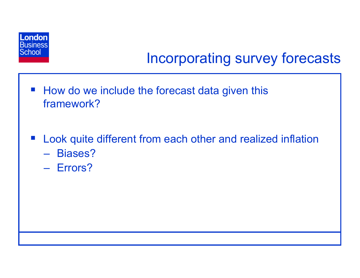

### Incorporating survey forecasts

- $\mathcal{L}^{\text{max}}$  How do we include the forecast data given this framework?
- $\mathcal{L}^{\text{max}}_{\text{max}}$  Look quite different from each other and realized inflation
	- Biases?
	- Errors?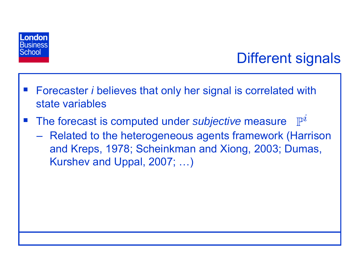

#### Different signals

- Forecaster *i* believes that only her signal is correlated with state variables
- $\mathbb{P}^{\imath}$  The forecast is computed under *subjective* measure **Service Service** 
	- $\mathcal{L}_{\mathcal{A}}$  , and the set of  $\mathcal{L}_{\mathcal{A}}$  Related to the heterogeneous agents framework (Harrison and Kreps, 1978; Scheinkman and Xiong, 2003; Dumas, Kurshev and Uppal, 2007; …)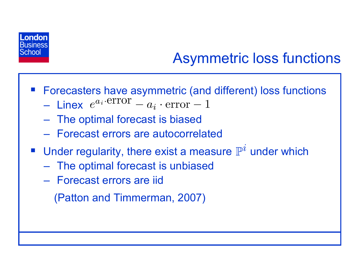

### Asymmetric loss functions

- Forecasters have asymmetric (and different) loss functions
	- Linex
	- $\mathcal{L}_{\mathcal{A}}$ The optimal forecast is biased
	- Forecast errors are autocorrelated
- Under regularity, there exist a measure  $\mathbb{P}^i$  under which
	- –The optimal forecast is unbiased
	- Forecast errors are iid

(Patton and Timmerman, 2007)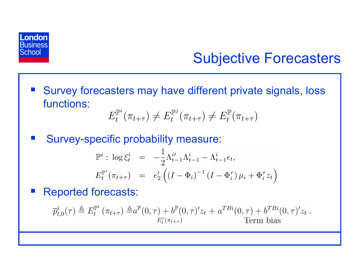

#### Subjective Forecasters

 $\mathcal{L}_{\mathcal{A}}$  Survey forecasters may have different private signals, loss functions:

$$
E_t^{\mathbb{P}^i}(\pi_{t+\tau}) \neq E_t^{\mathbb{P}^j}(\pi_{t+\tau}) \neq E_t^{\mathbb{P}}(\pi_{t+\tau})
$$

 $\mathcal{L}_{\mathcal{A}}$ Survey-specific probability measure:

$$
\mathbb{P}^{i}: \log \xi_{t}^{i} = -\frac{1}{2} \Lambda_{t-1}^{i \prime} \Lambda_{t-1}^{i} - \Lambda_{t-1}^{i} \epsilon_{t},
$$
  

$$
E_{t}^{\mathbb{P}^{i}}(\pi_{t+\tau}) = e_{2}' \left( \left( I - \Phi_{i} \right)^{-1} \left( I - \Phi_{i}^{\tau} \right) \mu_{i} + \Phi_{i}^{\tau} z_{t} \right)
$$

 $\mathbb{R}^n$ Reported forecasts:

$$
\overline{p}_{t,0}^{i}(\tau) \triangleq E_{t}^{\mathbb{P}^{i}}(\pi_{t+\tau}) \triangleq a^{\mathbb{P}}(0,\tau) + b^{\mathbb{P}}(0,\tau)'z_{t} + a^{TBi}(0,\tau) + b^{TBi}(0,\tau)'z_{t}.
$$
  
Term bias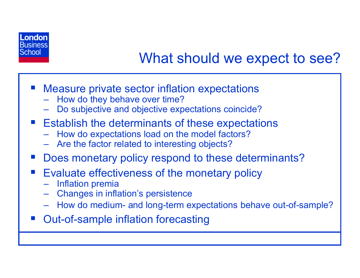

### What should we expect to see?

- Measure private sector inflation expectations
	- How do they behave over time?
	- Do subjective and objective expectations coincide?
- **Establish the determinants of these expectations** 
	- How do expectations load on the model factors?
	- Are the factor related to interesting objects?
- Does monetary policy respond to these determinants?
- **Evaluate effectiveness of the monetary policy** 
	- Inflation premia
	- Changes in inflation's persistence
	- How do medium- and long-term expectations behave out-of-sample?
- Out-of-sample inflation forecasting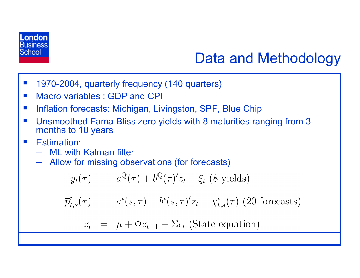

### Data and Methodology

- $\mathbb{R}^n$ 1970-2004, quarterly frequency (140 quarters)
- $\mathbb{R}^2$ Macro variables : GDP and CPI
- **The Contract of the Contract of the Contract of the Contract of the Contract of the Contract of the Contract of the Contract of the Contract of the Contract of the Contract of the Contract of the Contract of the Contract** Inflation forecasts: Michigan, Livingston, SPF, Blue Chip
- $\mathcal{L}^{\mathcal{A}}$  Unsmoothed Fama-Bliss zero yields with 8 maturities ranging from 3 months to 10 years
- $\mathcal{L}^{\mathcal{L}}$  Estimation:
	- ML with Kalman filter
	- Allow for missing observations (for forecasts)

$$
y_t(\tau) = a^{\mathbb{Q}}(\tau) + b^{\mathbb{Q}}(\tau)' z_t + \xi_t \text{ (8 yields)}
$$

 $\overline{p}_{t,s}^i(\tau) = a^i(s,\tau) + b^i(s,\tau)'z_t + \chi_{t,s}^i(\tau)$  (20 forecasts)

 $z_t = \mu + \Phi z_{t-1} + \Sigma \epsilon_t$  (State equation)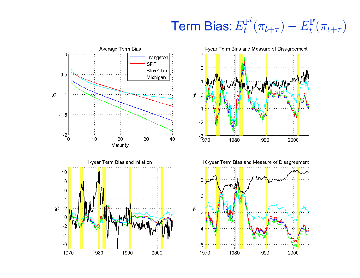# **Term Bias:**  $E_t^{\mathbb{P}^i}(\pi_{t+\tau}) - E_t^{\mathbb{P}}(\pi_{t+\tau})$





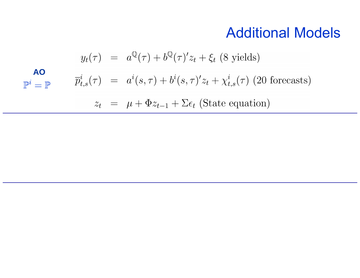#### Additional Models

$$
y_t(\tau) = a^{\mathbb{Q}}(\tau) + b^{\mathbb{Q}}(\tau)' z_t + \xi_t \text{ (8 yields)}
$$
  
\n
$$
\mathbf{P}^i = \mathbf{P} \qquad \overline{p}^i_{t,s}(\tau) = a^i(s, \tau) + b^i(s, \tau)' z_t + \chi^i_{t,s}(\tau) \text{ (20 forecasts)}
$$
  
\n
$$
z_t = \mu + \Phi z_{t-1} + \Sigma \epsilon_t \text{ (State equation)}
$$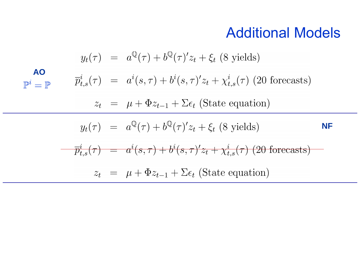#### Additional Models

$$
y_t(\tau) = a^{\mathbb{Q}}(\tau) + b^{\mathbb{Q}}(\tau)' z_t + \xi_t \text{ (8 yields)}
$$
\n
$$
\overline{p}_{t,s}^i(\tau) = a^i(s,\tau) + b^i(s,\tau)' z_t + \chi_{t,s}^i(\tau) \text{ (20 forecasts)}
$$
\n
$$
z_t = \mu + \Phi z_{t-1} + \Sigma \epsilon_t \text{ (State equation)}
$$
\n
$$
y_t(\tau) = a^{\mathbb{Q}}(\tau) + b^{\mathbb{Q}}(\tau)' z_t + \xi_t \text{ (8 yields)}
$$
\n
$$
\overline{p}_{t,s}^i(\tau) = a^i(s,\tau) + b^i(s,\tau)' z_t + \chi_{t,s}^i(\tau) \text{ (20 forecasts)}
$$
\n
$$
z_t = \mu + \Phi z_{t-1} + \Sigma \epsilon_t \text{ (State equation)}
$$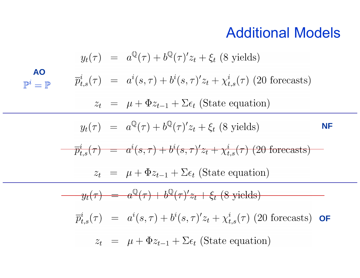#### Additional Models

**AO**  
\n**AO**  
\n
$$
\overline{p}_{t,s}^i(\tau) = a^0(\tau) + b^0(\tau)'z_t + \xi_t \text{ (8 yields)}
$$
\n
$$
\overline{p}_{t,s}^i(\tau) = a^i(s,\tau) + b^i(s,\tau)'z_t + \chi_{t,s}^i(\tau) \text{ (20 forecasts)}
$$
\n
$$
z_t = \mu + \Phi z_{t-1} + \Sigma \epsilon_t \text{ (State equation)}
$$
\n
$$
y_t(\tau) = a^0(\tau) + b^0(\tau)'z_t + \xi_t \text{ (8 yields)}
$$
\n
$$
\overline{p}_{t,s}^i(\tau) = a^i(s,\tau) + b^i(s,\tau)'z_t + \chi_{t,s}^i(\tau) \text{ (20 forecasts)}
$$
\n
$$
z_t = \mu + \Phi z_{t-1} + \Sigma \epsilon_t \text{ (State equation)}
$$
\n
$$
y_t(\tau) = a^0(\tau) + b^0(\tau)'z_t + \xi_t \text{ (8 yields)}
$$
\n
$$
\overline{p}_{t,s}^i(\tau) = a^i(s,\tau) + b^i(s,\tau)'z_t + \chi_{t,s}^i(\tau) \text{ (20 forecasts) }
$$
\n
$$
z_t = \mu + \Phi z_{t-1} + \Sigma \epsilon_t \text{ (State equation)}
$$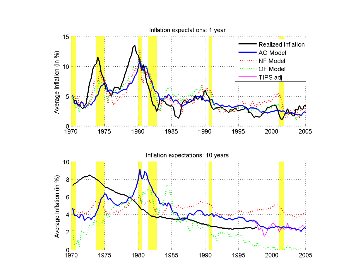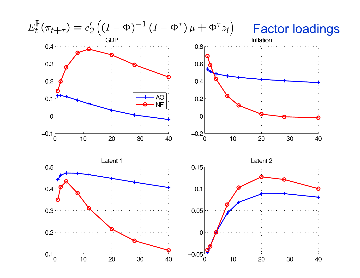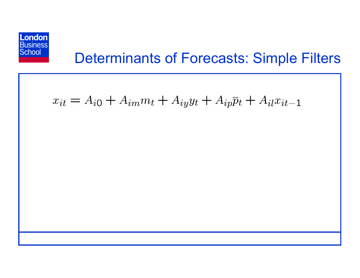

### Determinants of Forecasts: Simple Filters

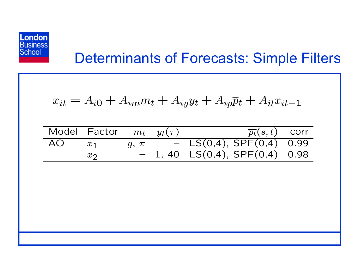

### Determinants of Forecasts: Simple Filters

$$
x_{it} = A_{i0} + A_{im}m_t + A_{iy}y_t + A_{ip}\overline{p}_t + A_{il}x_{it-1}
$$

| Model Factor $m_t$ $y_t(\tau)$ |  | $\overline{p_t}(s,t)$ corr                      |  |
|--------------------------------|--|-------------------------------------------------|--|
|                                |  | AO $x_1$ $g, \pi$ - LS(0,4), SPF(0,4) 0.99      |  |
| $x_{2}$                        |  | $-1, 40 \text{ LS}(0,4), SPF(0,4) \text{ 0.98}$ |  |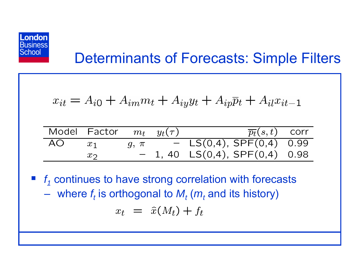

# Determinants of Forecasts: Simple Filters

$$
x_{it} = A_{i0} + A_{im}m_t + A_{iy}y_t + A_{ip}\overline{p}_t + A_{il}x_{it-1}
$$

|            | Model Factor $m_t$ $y_t(\tau)$ |  | $\overline{p_t}(s,t)$ corr                      |  |
|------------|--------------------------------|--|-------------------------------------------------|--|
| $AO$ $x_1$ |                                |  | $g, \pi$ - LS(0,4), SPF(0,4) 0.99               |  |
|            | $x_{2}$                        |  | $-1, 40 \text{ LS}(0,4), SPF(0,4) \text{ 0.98}$ |  |

 $\mathcal{L}(\mathcal{A})$  $f_{\rm 1}$  continues to have strong correlation with forecasts  $-$  where  $f_t$  is orthogonal to  $M_t$  ( $m_t$  and its history)

$$
x_t = \hat{x}(M_t) + f_t
$$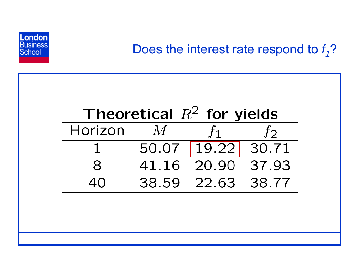

#### Does the interest rate respond to  $f_1$ ?

| Theoretical $R^2$ for yields |                |                       |                |  |  |  |  |  |
|------------------------------|----------------|-----------------------|----------------|--|--|--|--|--|
| Horizon                      | $\overline{M}$ | $f_{1}$               | $\overline{f}$ |  |  |  |  |  |
|                              |                | 50.07   19.22   30.71 |                |  |  |  |  |  |
| $\boldsymbol{\mathsf{R}}$    |                | 41.16 20.90 37.93     |                |  |  |  |  |  |
|                              |                | 38.59 22.63 38.77     |                |  |  |  |  |  |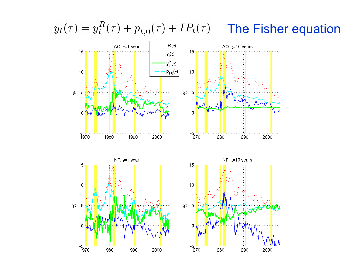$y_t(\tau) = y_t^R(\tau) + \overline{p}_{t,0}(\tau) + IP_t(\tau)$  The Fisher equation





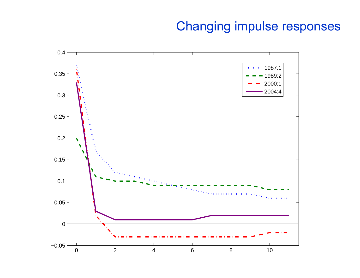#### Changing impulse responses

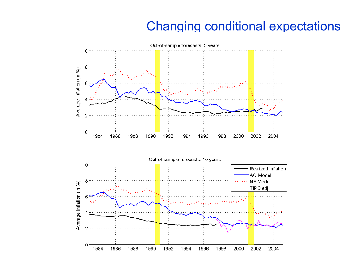#### Changing conditional expectations

![](_page_31_Figure_1.jpeg)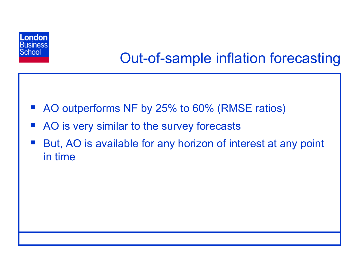![](_page_32_Picture_0.jpeg)

# Out-of-sample inflation forecasting

- $\mathcal{L}_{\mathcal{A}}$ AO outperforms NF by 25% to 60% (RMSE ratios)
- $\mathcal{L}_{\mathcal{A}}$ AO is very similar to the survey forecasts
- **College**  But, AO is available for any horizon of interest at any point in time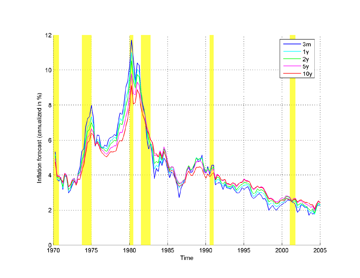![](_page_33_Figure_0.jpeg)